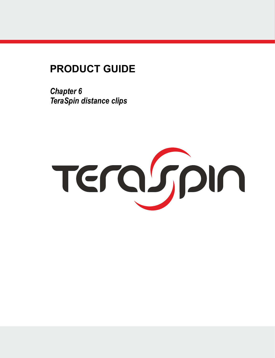# **PRODUCT GUIDE**

*Chapter 6 TeraSpin distance clips*

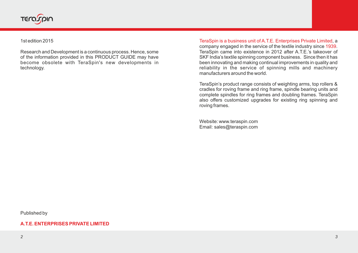

1st edition 2015

Research and Development is a continuous process. Hence, some of the information provided in this PRODUCT GUIDE may have become obsolete with TeraSpin's new developments in technology.

TeraSpin is a business unit of A.T.E. Enterprises Private Limited, a company engaged in the service of the textile industry since 1939. TeraSpin came into existence in 2012 after A.T.E.'s takeover of SKF India's textile spinning component business. Since then it has been innovating and making continual improvements in quality and reliability in the service of spinning mills and machinery manufacturers around the world.

TeraSpin's product range consists of weighting arms, top rollers & cradles for roving frame and ring frame, spindle bearing units and complete spindles for ring frames and doubling frames. TeraSpin also offers customized upgrades for existing ring spinning and roving frames.

Website: www.teraspin.com Email: sales@teraspin.com

Published by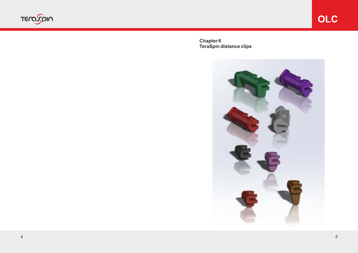

**Chapter 6 TeraSpin distance clips**

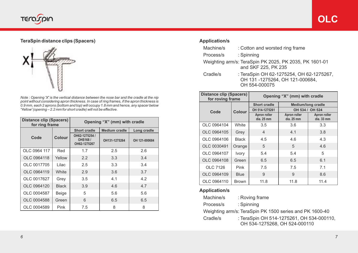

## **TeraSpin distance clips (Spacers)**



*Note : Opening 'X' is the vertical distance between the nose bar and the cradle at the nip point without considering apron thickness. In case of ring frames, if the apron thickness is 0.9 mm, each 2 aprons (bottom and top) will occupy 1.8 mm and hence, any spacer below 'Yellow' (opening – 2.2 mm for short cradle) will not be effective.*

| Distance clip (Spacers)<br>for ring frame |              | Opening "X" (mm) with cradle              |                      |               |  |
|-------------------------------------------|--------------|-------------------------------------------|----------------------|---------------|--|
|                                           |              | Short cradle                              | <b>Medium cradle</b> | Long cradle   |  |
| Code                                      | Colour       | OH62-1275254 /<br>OHS168/<br>OH62-1275267 | OH131-1275264        | OH 121-000684 |  |
| OLC 0964 117                              | Red          | 1.7                                       | 2.5                  | 2.6           |  |
| OLC 0964118                               | Yellow       | 2.2                                       | 3.3                  | 3.4           |  |
| OLC 0017705                               | Lilac        | 2.5                                       | 3.3                  | 3.4           |  |
| OLC 0964119                               | White        | 2.9                                       | 3.6                  | 3.7           |  |
| OLC 0017627                               | Grey         | 3.5                                       | 4.1                  | 4.2           |  |
| OLC 0964120                               | <b>Black</b> | 3.9                                       | 4.6                  | 4.7           |  |
| OLC 0004587                               | Beige        | 5                                         | 5.6                  | 5.6           |  |
| OLC 0004588                               | Green        | 6                                         | 6.5                  | 6.5           |  |
| OLC 0004589                               | Pink         | 7.5                                       | 8                    | 8             |  |

## **Application/s**

| Machine/s | : Cotton and worsted ring frame                                                             |
|-----------|---------------------------------------------------------------------------------------------|
| Process/s | : Spinning                                                                                  |
|           | Weighting arm/s: TeraSpin PK 2025, PK 2035, PK 1601-01<br>and SKF 225, PK 235               |
| Cradle/s  | : TeraSpin OH 62-1275254, OH 62-1275267,<br>OH 131-1275264. OH 121-000684.<br>OH 554-000075 |

| <b>Distance clip (Spacers)</b><br>for roving frame |              | Opening "X" (mm) with cradle |                            |                            |  |
|----------------------------------------------------|--------------|------------------------------|----------------------------|----------------------------|--|
| Code                                               | Colour       | Short cradle                 | <b>Medium/long cradle</b>  |                            |  |
|                                                    |              | OH 514-1275261               | OH 534 /<br>OH 524         |                            |  |
|                                                    |              | Apron roller<br>dia. 25 mm   | Apron roller<br>dia. 25 mm | Apron roller<br>dia. 33 mm |  |
| OLC 0964104                                        | White        | 3.5                          | 3.6                        | 3.3                        |  |
| OLC 0964105                                        | Grey         | $\overline{4}$               | 4.1                        | 3.8                        |  |
| OLC 0964106                                        | <b>Black</b> | 4.5                          | 4.6                        | 4.3                        |  |
| OLC 0030491                                        | Orange       | 5                            | 5                          | 4.6                        |  |
| OLC 0964107                                        | Ivory        | 5.4                          | 5.4                        | 5                          |  |
| OLC 0964108                                        | Green        | 6.5                          | 6.5                        | 6.1                        |  |
| OLC 7126                                           | Pink         | 7.5                          | 7.5                        | 7.1                        |  |
| OLC 0964109                                        | <b>Blue</b>  | 9                            | 9                          | 8.6                        |  |
| OLC 0964110                                        | Brown        | 11.8                         | 11.8                       | 11.4                       |  |

#### **Application/s**

| Machine/s | : Roving frame |
|-----------|----------------|
|           |                |

Process/s : Spinning

Weighting arm/s: TeraSpin PK 1500 series and PK 1600-40

Cradle/s : TeraSpin OH 514-1275261, OH 534-000110, OH 534-1275268, OH 524-000110